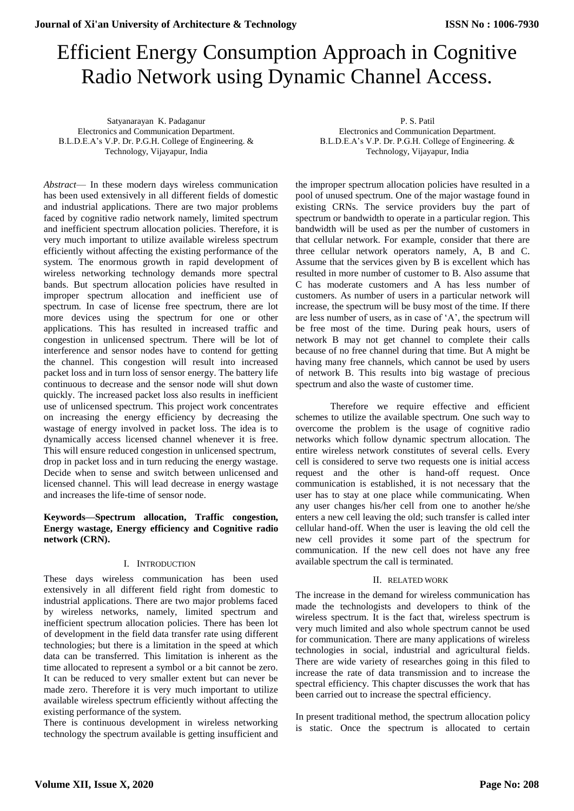# Efficient Energy Consumption Approach in Cognitive Radio Network using Dynamic Channel Access.

Satyanarayan K. Padaganur Electronics and Communication Department. B.L.D.E.A's V.P. Dr. P.G.H. College of Engineering. & Technology, Vijayapur, India

*Abstract*— In these modern days wireless communication has been used extensively in all different fields of domestic and industrial applications. There are two major problems faced by cognitive radio network namely, limited spectrum and inefficient spectrum allocation policies. Therefore, it is very much important to utilize available wireless spectrum efficiently without affecting the existing performance of the system. The enormous growth in rapid development of wireless networking technology demands more spectral bands. But spectrum allocation policies have resulted in improper spectrum allocation and inefficient use of spectrum. In case of license free spectrum, there are lot more devices using the spectrum for one or other applications. This has resulted in increased traffic and congestion in unlicensed spectrum. There will be lot of interference and sensor nodes have to contend for getting the channel. This congestion will result into increased packet loss and in turn loss of sensor energy. The battery life continuous to decrease and the sensor node will shut down quickly. The increased packet loss also results in inefficient use of unlicensed spectrum. This project work concentrates on increasing the energy efficiency by decreasing the wastage of energy involved in packet loss. The idea is to dynamically access licensed channel whenever it is free. This will ensure reduced congestion in unlicensed spectrum, drop in packet loss and in turn reducing the energy wastage. Decide when to sense and switch between unlicensed and licensed channel. This will lead decrease in energy wastage and increases the life-time of sensor node.

# **Keywords—Spectrum allocation, Traffic congestion, Energy wastage, Energy efficiency and Cognitive radio network (CRN).**

## I. INTRODUCTION

These days wireless communication has been used extensively in all different field right from domestic to industrial applications. There are two major problems faced by wireless networks, namely, limited spectrum and inefficient spectrum allocation policies. There has been lot of development in the field data transfer rate using different technologies; but there is a limitation in the speed at which data can be transferred. This limitation is inherent as the time allocated to represent a symbol or a bit cannot be zero. It can be reduced to very smaller extent but can never be made zero. Therefore it is very much important to utilize available wireless spectrum efficiently without affecting the existing performance of the system.

There is continuous development in wireless networking technology the spectrum available is getting insufficient and

P. S. Patil Electronics and Communication Department. B.L.D.E.A's V.P. Dr. P.G.H. College of Engineering. & Technology, Vijayapur, India

the improper spectrum allocation policies have resulted in a pool of unused spectrum. One of the major wastage found in existing CRNs. The service providers buy the part of spectrum or bandwidth to operate in a particular region. This bandwidth will be used as per the number of customers in that cellular network. For example, consider that there are three cellular network operators namely, A, B and C. Assume that the services given by B is excellent which has resulted in more number of customer to B. Also assume that C has moderate customers and A has less number of customers. As number of users in a particular network will increase, the spectrum will be busy most of the time. If there are less number of users, as in case of 'A', the spectrum will be free most of the time. During peak hours, users of network B may not get channel to complete their calls because of no free channel during that time. But A might be having many free channels, which cannot be used by users of network B. This results into big wastage of precious spectrum and also the waste of customer time.

Therefore we require effective and efficient schemes to utilize the available spectrum. One such way to overcome the problem is the usage of cognitive radio networks which follow dynamic spectrum allocation. The entire wireless network constitutes of several cells. Every cell is considered to serve two requests one is initial access request and the other is hand-off request. Once communication is established, it is not necessary that the user has to stay at one place while communicating. When any user changes his/her cell from one to another he/she enters a new cell leaving the old; such transfer is called inter cellular hand-off. When the user is leaving the old cell the new cell provides it some part of the spectrum for communication. If the new cell does not have any free available spectrum the call is terminated.

## II. RELATED WORK

The increase in the demand for wireless communication has made the technologists and developers to think of the wireless spectrum. It is the fact that, wireless spectrum is very much limited and also whole spectrum cannot be used for communication. There are many applications of wireless technologies in social, industrial and agricultural fields. There are wide variety of researches going in this filed to increase the rate of data transmission and to increase the spectral efficiency. This chapter discusses the work that has been carried out to increase the spectral efficiency.

In present traditional method, the spectrum allocation policy is static. Once the spectrum is allocated to certain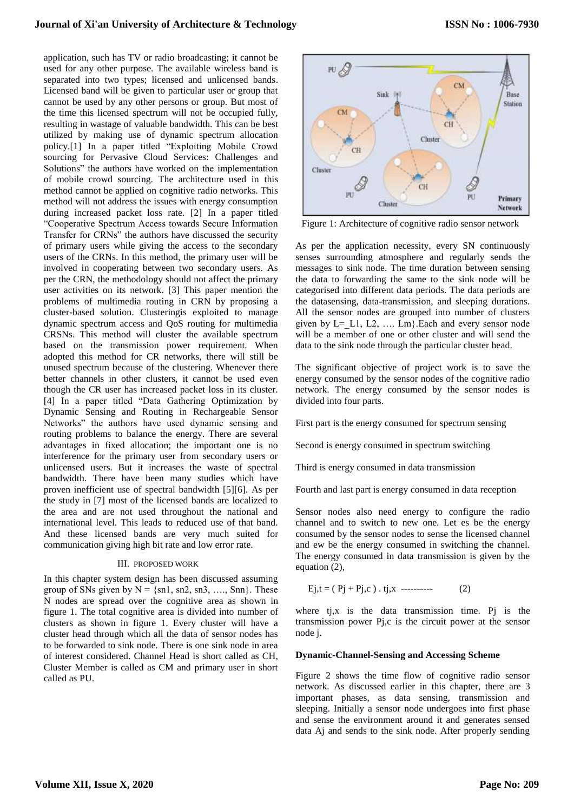# **Journal of Xi'an University of Architecture & Technology**

application, such has TV or radio broadcasting; it cannot be used for any other purpose. The available wireless band is separated into two types; licensed and unlicensed bands. Licensed band will be given to particular user or group that cannot be used by any other persons or group. But most of the time this licensed spectrum will not be occupied fully, resulting in wastage of valuable bandwidth. This can be best utilized by making use of dynamic spectrum allocation policy.[1] In a paper titled "Exploiting Mobile Crowd sourcing for Pervasive Cloud Services: Challenges and Solutions" the authors have worked on the implementation of mobile crowd sourcing. The architecture used in this method cannot be applied on cognitive radio networks. This method will not address the issues with energy consumption during increased packet loss rate. [2] In a paper titled "Cooperative Spectrum Access towards Secure Information Transfer for CRNs" the authors have discussed the security of primary users while giving the access to the secondary users of the CRNs. In this method, the primary user will be involved in cooperating between two secondary users. As per the CRN, the methodology should not affect the primary user activities on its network. [3] This paper mention the problems of multimedia routing in CRN by proposing a cluster-based solution. Clusteringis exploited to manage dynamic spectrum access and QoS routing for multimedia CRSNs. This method will cluster the available spectrum based on the transmission power requirement. When adopted this method for CR networks, there will still be unused spectrum because of the clustering. Whenever there better channels in other clusters, it cannot be used even though the CR user has increased packet loss in its cluster. [4] In a paper titled "Data Gathering Optimization by Dynamic Sensing and Routing in Rechargeable Sensor Networks" the authors have used dynamic sensing and routing problems to balance the energy. There are several advantages in fixed allocation; the important one is no interference for the primary user from secondary users or unlicensed users. But it increases the waste of spectral bandwidth. There have been many studies which have proven inefficient use of spectral bandwidth [5][6]. As per the study in [7] most of the licensed bands are localized to the area and are not used throughout the national and international level. This leads to reduced use of that band. And these licensed bands are very much suited for communication giving high bit rate and low error rate.

#### III. PROPOSED WORK

In this chapter system design has been discussed assuming group of SNs given by  $N = \{sn1, sn2, sn3, \ldots, Snn\}$ . These N nodes are spread over the cognitive area as shown in figure 1. The total cognitive area is divided into number of clusters as shown in figure 1. Every cluster will have a cluster head through which all the data of sensor nodes has to be forwarded to sink node. There is one sink node in area of interest considered. Channel Head is short called as CH, Cluster Member is called as CM and primary user in short called as PU.



Figure 1: Architecture of cognitive radio sensor network

As per the application necessity, every SN continuously senses surrounding atmosphere and regularly sends the messages to sink node. The time duration between sensing the data to forwarding the same to the sink node will be categorised into different data periods. The data periods are the datasensing, data-transmission, and sleeping durations. All the sensor nodes are grouped into number of clusters given by  $L=$  L1, L2, .... Lm}. Each and every sensor node will be a member of one or other cluster and will send the data to the sink node through the particular cluster head.

The significant objective of project work is to save the energy consumed by the sensor nodes of the cognitive radio network. The energy consumed by the sensor nodes is divided into four parts.

First part is the energy consumed for spectrum sensing

Second is energy consumed in spectrum switching

Third is energy consumed in data transmission

Fourth and last part is energy consumed in data reception

Sensor nodes also need energy to configure the radio channel and to switch to new one. Let es be the energy consumed by the sensor nodes to sense the licensed channel and ew be the energy consumed in switching the channel. The energy consumed in data transmission is given by the equation (2),

$$
Ej, t = (Pj + Pj, c) . tj, x
$$
 (2)

where  $t_{i}$ , x is the data transmission time. Pj is the transmission power Pj,c is the circuit power at the sensor node j.

#### **Dynamic-Channel-Sensing and Accessing Scheme**

Figure 2 shows the time flow of cognitive radio sensor network. As discussed earlier in this chapter, there are 3 important phases, as data sensing, transmission and sleeping. Initially a sensor node undergoes into first phase and sense the environment around it and generates sensed data Aj and sends to the sink node. After properly sending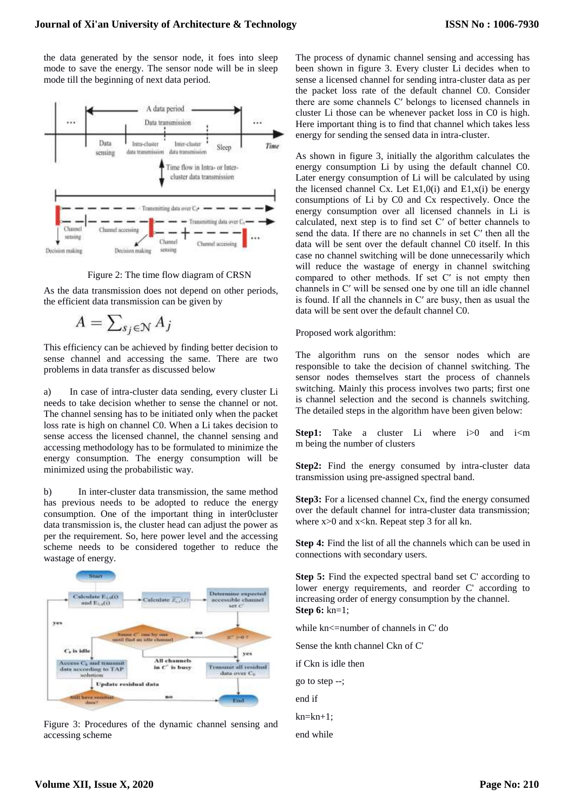the data generated by the sensor node, it foes into sleep mode to save the energy. The sensor node will be in sleep mode till the beginning of next data period.



Figure 2: The time flow diagram of CRSN

As the data transmission does not depend on other periods, the efficient data transmission can be given by

$$
A = \sum_{s_j \in \mathcal{N}} A_j
$$

This efficiency can be achieved by finding better decision to sense channel and accessing the same. There are two problems in data transfer as discussed below

a) In case of intra-cluster data sending, every cluster Li needs to take decision whether to sense the channel or not. The channel sensing has to be initiated only when the packet loss rate is high on channel C0. When a Li takes decision to sense access the licensed channel, the channel sensing and accessing methodology has to be formulated to minimize the energy consumption. The energy consumption will be minimized using the probabilistic way.

b) In inter-cluster data transmission, the same method has previous needs to be adopted to reduce the energy consumption. One of the important thing in inter0cluster data transmission is, the cluster head can adjust the power as per the requirement. So, here power level and the accessing scheme needs to be considered together to reduce the wastage of energy.



Figure 3: Procedures of the dynamic channel sensing and accessing scheme

The process of dynamic channel sensing and accessing has been shown in figure 3. Every cluster Li decides when to sense a licensed channel for sending intra-cluster data as per the packet loss rate of the default channel C0. Consider there are some channels C′ belongs to licensed channels in cluster Li those can be whenever packet loss in C0 is high. Here important thing is to find that channel which takes less energy for sending the sensed data in intra-cluster.

As shown in figure 3, initially the algorithm calculates the energy consumption Li by using the default channel C0. Later energy consumption of Li will be calculated by using the licensed channel Cx. Let  $E1,0(i)$  and  $E1,x(i)$  be energy consumptions of Li by C0 and Cx respectively. Once the energy consumption over all licensed channels in Li is calculated, next step is to find set C′ of better channels to send the data. If there are no channels in set C′ then all the data will be sent over the default channel C0 itself. In this case no channel switching will be done unnecessarily which will reduce the wastage of energy in channel switching compared to other methods. If set C′ is not empty then channels in C′ will be sensed one by one till an idle channel is found. If all the channels in C′ are busy, then as usual the data will be sent over the default channel C0.

Proposed work algorithm:

The algorithm runs on the sensor nodes which are responsible to take the decision of channel switching. The sensor nodes themselves start the process of channels switching. Mainly this process involves two parts; first one is channel selection and the second is channels switching. The detailed steps in the algorithm have been given below:

**Step1:** Take a cluster Li where i>0 and i<m m being the number of clusters

Step2: Find the energy consumed by intra-cluster data transmission using pre-assigned spectral band.

**Step3:** For a licensed channel Cx, find the energy consumed over the default channel for intra-cluster data transmission; where  $x>0$  and  $x<$ kn. Repeat step 3 for all kn.

**Step 4:** Find the list of all the channels which can be used in connections with secondary users.

**Step 5:** Find the expected spectral band set C' according to lower energy requirements, and reorder C' according to increasing order of energy consumption by the channel. **Step 6:** kn=1;

while kn<=number of channels in C' do

Sense the knth channel Ckn of C'

if Ckn is idle then

go to step --;

end if

 $kn=kn+1$ :

end while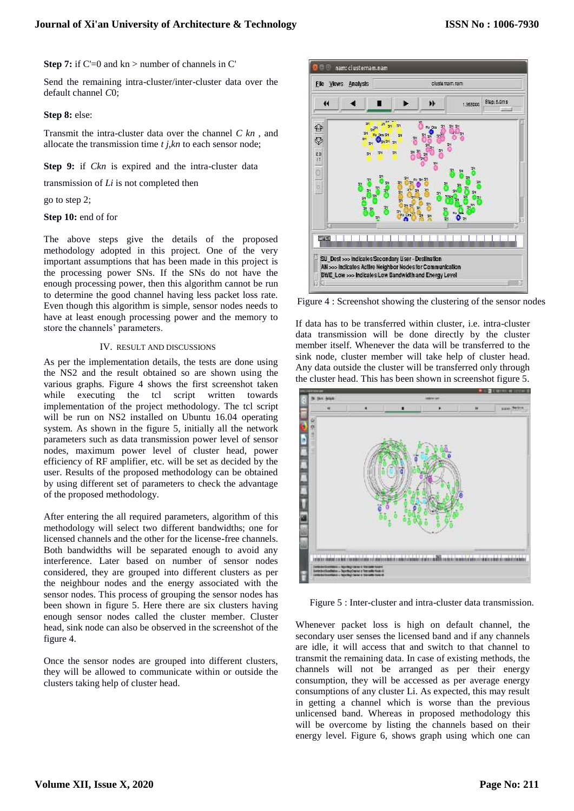**Step 7:** if C'=0 and kn > number of channels in C'

Send the remaining intra-cluster/inter-cluster data over the default channel *C*0;

## **Step 8:** else:

Transmit the intra-cluster data over the channel *C kn* , and allocate the transmission time *t j,kn* to each sensor node;

**Step 9:** if *Ckn* is expired and the intra-cluster data

transmission of *Li* is not completed then

go to step 2;

**Step 10:** end of for

The above steps give the details of the proposed methodology adopted in this project. One of the very important assumptions that has been made in this project is the processing power SNs. If the SNs do not have the enough processing power, then this algorithm cannot be run to determine the good channel having less packet loss rate. Even though this algorithm is simple, sensor nodes needs to have at least enough processing power and the memory to store the channels' parameters.

## IV. RESULT AND DISCUSSIONS

As per the implementation details, the tests are done using the NS2 and the result obtained so are shown using the various graphs. Figure 4 shows the first screenshot taken while executing the tcl script written towards implementation of the project methodology. The tcl script will be run on NS2 installed on Ubuntu 16.04 operating system. As shown in the figure 5, initially all the network parameters such as data transmission power level of sensor nodes, maximum power level of cluster head, power efficiency of RF amplifier, etc. will be set as decided by the user. Results of the proposed methodology can be obtained by using different set of parameters to check the advantage of the proposed methodology.

After entering the all required parameters, algorithm of this methodology will select two different bandwidths; one for licensed channels and the other for the license-free channels. Both bandwidths will be separated enough to avoid any interference. Later based on number of sensor nodes considered, they are grouped into different clusters as per the neighbour nodes and the energy associated with the sensor nodes. This process of grouping the sensor nodes has been shown in figure 5. Here there are six clusters having enough sensor nodes called the cluster member. Cluster head, sink node can also be observed in the screenshot of the figure 4.

Once the sensor nodes are grouped into different clusters, they will be allowed to communicate within or outside the clusters taking help of cluster head.



Figure 4 : Screenshot showing the clustering of the sensor nodes

If data has to be transferred within cluster, i.e. intra-cluster data transmission will be done directly by the cluster member itself. Whenever the data will be transferred to the sink node, cluster member will take help of cluster head. Any data outside the cluster will be transferred only through the cluster head. This has been shown in screenshot figure 5.



Figure 5 : Inter-cluster and intra-cluster data transmission.

Whenever packet loss is high on default channel, the secondary user senses the licensed band and if any channels are idle, it will access that and switch to that channel to transmit the remaining data. In case of existing methods, the channels will not be arranged as per their energy consumption, they will be accessed as per average energy consumptions of any cluster Li. As expected, this may result in getting a channel which is worse than the previous unlicensed band. Whereas in proposed methodology this will be overcome by listing the channels based on their energy level. Figure 6, shows graph using which one can